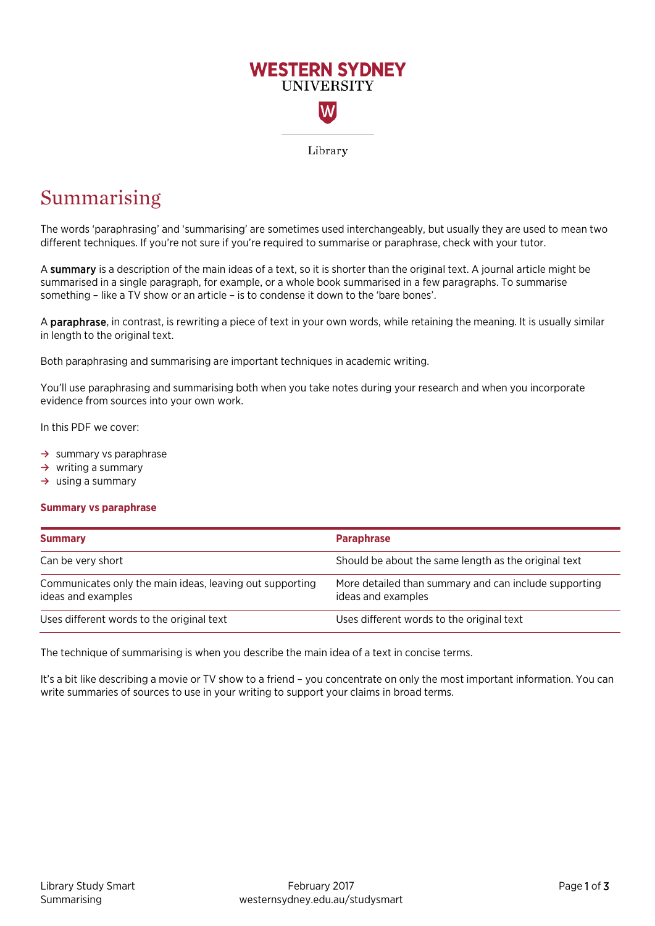

# Summarising

The words 'paraphrasing' and 'summarising' are sometimes used interchangeably, but usually they are used to mean two different techniques. If you're not sure if you're required to summarise or paraphrase, check with your tutor.

A summary is a description of the main ideas of a text, so it is shorter than the original text. A journal article might be summarised in a single paragraph, for example, or a whole book summarised in a few paragraphs. To summarise something – like a TV show or an article – is to condense it down to the 'bare bones'.

A paraphrase, in contrast, is rewriting a piece of text in your own words, while retaining the meaning. It is usually similar in length to the original text.

Both paraphrasing and summarising are important techniques in academic writing.

You'll use paraphrasing and summarising both when you take notes during your research and when you incorporate evidence from sources into your own work.

In this PDF we cover:

- **→** summary vs paraphrase
- **→** writing a summary
- **→** using a summary

# **Summary vs paraphrase**

| <b>Summary</b>                                                                 | <b>Paraphrase</b>                                                           |
|--------------------------------------------------------------------------------|-----------------------------------------------------------------------------|
| Can be very short                                                              | Should be about the same length as the original text                        |
| Communicates only the main ideas, leaving out supporting<br>ideas and examples | More detailed than summary and can include supporting<br>ideas and examples |
| Uses different words to the original text                                      | Uses different words to the original text                                   |

The technique of summarising is when you describe the main idea of a text in concise terms.

It's a bit like describing a movie or TV show to a friend - you concentrate on only the most important information. You can write summaries of sources to use in your writing to support your claims in broad terms.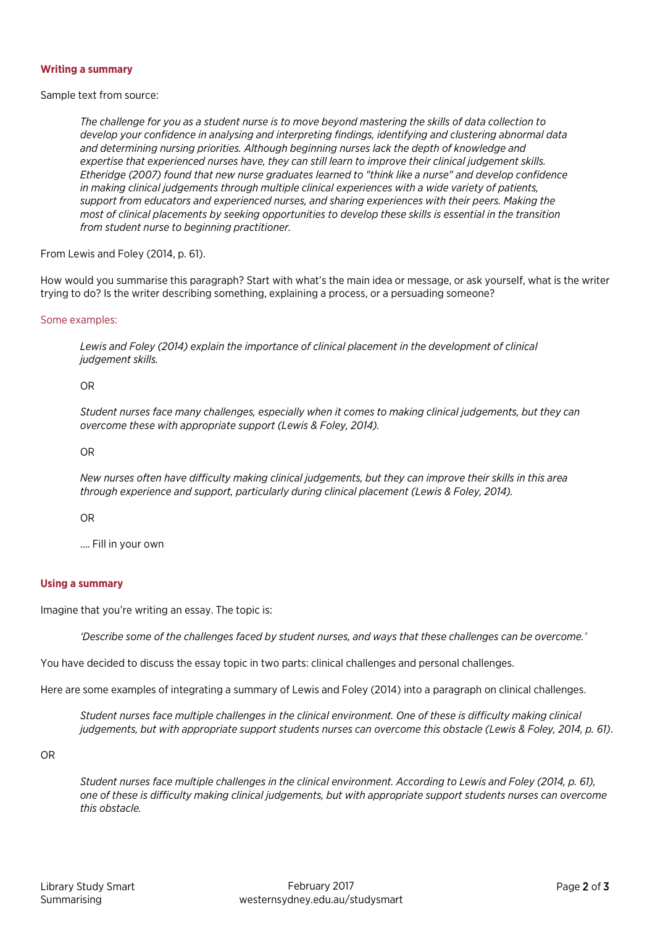# **Writing a summary**

Sample text from source:

*The challenge for you as a student nurse is to move beyond mastering the skills of data collection to develop your confidence in analysing and interpreting findings, identifying and clustering abnormal data and determining nursing priorities. Although beginning nurses lack the depth of knowledge and expertise that experienced nurses have, they can still learn to improve their clinical judgement skills. Etheridge (2007) found that new nurse graduates learned to "think like a nurse" and develop confidence in making clinical judgements through multiple clinical experiences with a wide variety of patients, support from educators and experienced nurses, and sharing experiences with their peers. Making the most of clinical placements by seeking opportunities to develop these skills is essential in the transition from student nurse to beginning practitioner.*

From Lewis and Foley (2014, p. 61).

How would you summarise this paragraph? Start with what's the main idea or message, or ask yourself, what is the writer trying to do? Is the writer describing something, explaining a process, or a persuading someone?

#### Some examples:

*Lewis and Foley (2014) explain the importance of clinical placement in the development of clinical judgement skills.*

#### OR

*Student nurses face many challenges, especially when it comes to making clinical judgements, but they can overcome these with appropriate support (Lewis & Foley, 2014).*

# OR

*New nurses often have difficulty making clinical judgements, but they can improve their skills in this area through experience and support, particularly during clinical placement (Lewis & Foley, 2014).*

OR

…. Fill in your own

# **Using a summary**

Imagine that you're writing an essay. The topic is:

*'Describe some of the challenges faced by student nurses, and ways that these challenges can be overcome.'* 

You have decided to discuss the essay topic in two parts: clinical challenges and personal challenges.

Here are some examples of integrating a summary of Lewis and Foley (2014) into a paragraph on clinical challenges.

*Student nurses face multiple challenges in the clinical environment. One of these is difficulty making clinical judgements, but with appropriate support students nurses can overcome this obstacle (Lewis & Foley, 2014, p. 61)*.

OR

*Student nurses face multiple challenges in the clinical environment. According to Lewis and Foley (2014, p. 61), one of these is difficulty making clinical judgements, but with appropriate support students nurses can overcome this obstacle.*